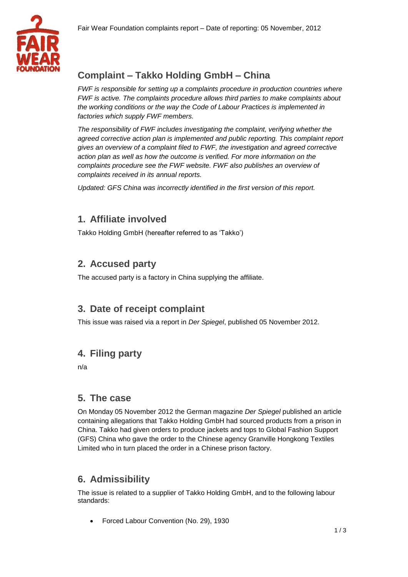

# **Complaint – Takko Holding GmbH – China**

*FWF is responsible for setting up a complaints procedure in production countries where FWF is active. The complaints procedure allows third parties to make complaints about the working conditions or the way the Code of Labour Practices is implemented in factories which supply FWF members.* 

*The responsibility of FWF includes investigating the complaint, verifying whether the agreed corrective action plan is implemented and public reporting. This complaint report gives an overview of a complaint filed to FWF, the investigation and agreed corrective action plan as well as how the outcome is verified. For more information on the complaints procedure see the FWF website. FWF also publishes an overview of complaints received in its annual reports.*

*Updated: GFS China was incorrectly identified in the first version of this report.*

## **1. Affiliate involved**

Takko Holding GmbH (hereafter referred to as 'Takko')

## **2. Accused party**

The accused party is a factory in China supplying the affiliate.

#### **3. Date of receipt complaint**

This issue was raised via a report in *Der Spiegel*, published 05 November 2012.

## **4. Filing party**

n/a

#### **5. The case**

On Monday 05 November 2012 the German magazine *Der Spiegel* published an article containing allegations that Takko Holding GmbH had sourced products from a prison in China. Takko had given orders to produce jackets and tops to Global Fashion Support (GFS) China who gave the order to the Chinese agency Granville Hongkong Textiles Limited who in turn placed the order in a Chinese prison factory.

## **6. Admissibility**

The issue is related to a supplier of Takko Holding GmbH, and to the following labour standards:

Forced Labour Convention (No. 29), 1930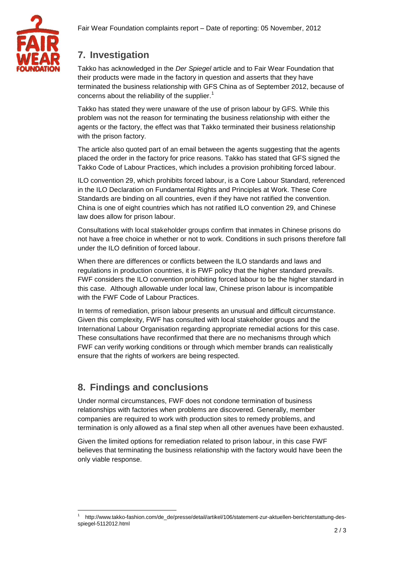



# **7. Investigation**

Takko has acknowledged in the *Der Spiegel* article and to Fair Wear Foundation that their products were made in the factory in question and asserts that they have terminated the business relationship with GFS China as of September 2012, because of concerns about the reliability of the supplier.<sup>1</sup>

Takko has stated they were unaware of the use of prison labour by GFS. While this problem was not the reason for terminating the business relationship with either the agents or the factory, the effect was that Takko terminated their business relationship with the prison factory.

The article also quoted part of an email between the agents suggesting that the agents placed the order in the factory for price reasons. Takko has stated that GFS signed the Takko Code of Labour Practices, which includes a provision prohibiting forced labour.

ILO convention 29, which prohibits forced labour, is a Core Labour Standard, referenced in the ILO Declaration on Fundamental Rights and Principles at Work. These Core Standards are binding on all countries, even if they have not ratified the convention. China is one of eight countries which has not ratified ILO convention 29, and Chinese law does allow for prison labour.

Consultations with local stakeholder groups confirm that inmates in Chinese prisons do not have a free choice in whether or not to work. Conditions in such prisons therefore fall under the ILO definition of forced labour.

When there are differences or conflicts between the ILO standards and laws and regulations in production countries, it is FWF policy that the higher standard prevails. FWF considers the ILO convention prohibiting forced labour to be the higher standard in this case. Although allowable under local law, Chinese prison labour is incompatible with the FWF Code of Labour Practices.

In terms of remediation, prison labour presents an unusual and difficult circumstance. Given this complexity, FWF has consulted with local stakeholder groups and the International Labour Organisation regarding appropriate remedial actions for this case. These consultations have reconfirmed that there are no mechanisms through which FWF can verify working conditions or through which member brands can realistically ensure that the rights of workers are being respected.

## **8. Findings and conclusions**

Under normal circumstances, FWF does not condone termination of business relationships with factories when problems are discovered. Generally, member companies are required to work with production sites to remedy problems, and termination is only allowed as a final step when all other avenues have been exhausted.

Given the limited options for remediation related to prison labour, in this case FWF believes that terminating the business relationship with the factory would have been the only viable response.

 $\overline{a}$ 1 http://www.takko-fashion.com/de\_de/presse/detail/artikel/106/statement-zur-aktuellen-berichterstattung-desspiegel-5112012.html